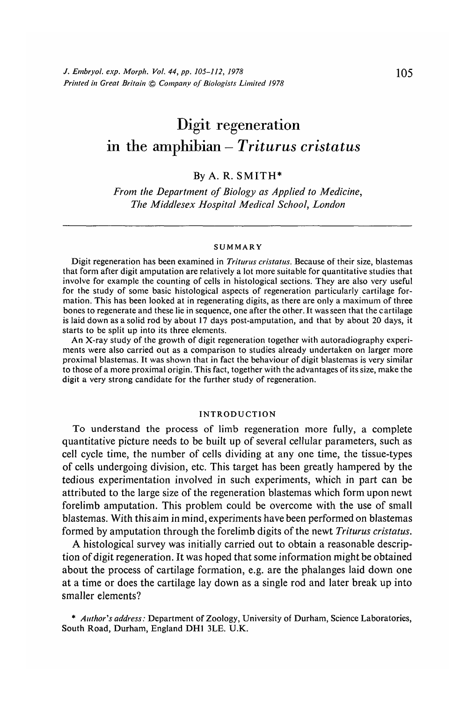# Digit regeneration in the amphibian — *Triturus cristatus*

## By A. R. SMITH\*

*From the Department of Biology as Applied to Medicine, The Middlesex Hospital Medical School, London*

#### **SUMMARY**

Digit regeneration has been examined in *Triturus cristatus.* Because of their size, blastemas that form after digit amputation are relatively a lot more suitable for quantitative studies that involve for example the counting of cells in histological sections. They are also very useful for the study of some basic histological aspects of regeneration particularly cartilage formation. This has been looked at in regenerating digits, as there are only a maximum of three bones to regenerate and these lie in sequence, one after the other. It was seen that the cartilage is laid down as a solid rod by about 17 days post-amputation, and that by about 20 days, it starts to be split up into its three elements.

An X-ray study of the growth of digit regeneration together with autoradiography experiments were also carried out as a comparison to studies already undertaken on larger more proximal blastemas. It was shown that in fact the behaviour of digit blastemas is very similar to those of a more proximal origin. This fact, together with the advantages of its size, make the digit a very strong candidate for the further study of regeneration.

#### **INTRODUCTION**

To understand the process of limb regeneration more fully, a complete quantitative picture needs to be built up of several cellular parameters, such as cell cycle time, the number of cells dividing at any one time, the tissue-types of cells undergoing division, etc. This target has been greatly hampered by the tedious experimentation involved in such experiments, which in part can be attributed to the large size of the regeneration blastemas which form upon newt forelimb amputation. This problem could be overcome with the use of small blastemas. With this aim in mind, experiments have been performed on blastemas formed by amputation through the forelimb digits of the newt *Triturus cristatus.*

A histological survey was initially carried out to obtain a reasonable description of digit regeneration. It was hoped that some information might be obtained about the process of cartilage formation, e.g. are the phalanges laid down one at a time or does the cartilage lay down as a single rod and later break up into smaller elements?

\* *Author's address:* Department of Zoology, University of Durham, Science Laboratories, South Road, Durham, England DH1 3LE. U.K.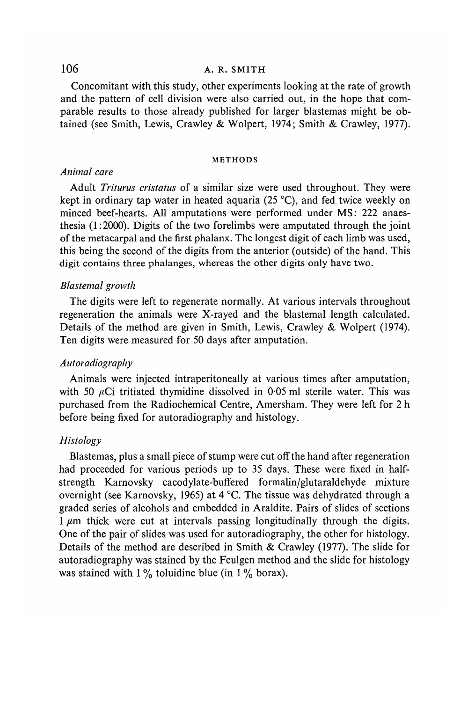# 106 **A. R. SMITH**

Concomitant with this study, other experiments looking at the rate of growth and the pattern of cell division were also carried out, in the hope that comparable results to those already published for larger blastemas might be obtained (see Smith, Lewis, Crawley & Wolpert, 1974; Smith & Crawley, 1977).

#### METHODS

### *Animal care*

Adult *Triturus cristatus* of a similar size were used throughout. They were kept in ordinary tap water in heated aquaria (25 °C), and fed twice weekly on minced beef-hearts. All amputations were performed under MS: 222 anaesthesia (1:2000). Digits of the two forelimbs were amputated through the joint of the metacarpal and the first phalanx. The longest digit of each limb was used, this being the second of the digits from the anterior (outside) of the hand. This digit contains three phalanges, whereas the other digits only have two.

#### *Blastemal growth*

The digits were left to regenerate normally. At various intervals throughout regeneration the animals were X-rayed and the blastemal length calculated. Details of the method are given in Smith, Lewis, Crawley & Wolpert (1974). Ten digits were measured for 50 days after amputation.

#### *Autoradiography*

Animals were injected intraperitoneally at various times after amputation, with 50  $\mu$ Ci tritiated thymidine dissolved in 0.05 ml sterile water. This was purchased from the Radiochemical Centre, Amersham. They were left for 2 h before being fixed for autoradiography and histology.

# *Histology*

Blastemas, plus a small piece of stump were cut off the hand after regeneration had proceeded for various periods up to 35 days. These were fixed in halfstrength Karnovsky cacodylate-buffered formalin/glutaraldehyde mixture overnight (see Karnovsky, 1965) at 4 °C. The tissue was dehydrated through a graded series of alcohols and embedded in Araldite. Pairs of slides of sections  $1 \mu$ m thick were cut at intervals passing longitudinally through the digits. One of the pair of slides was used for autoradiography, the other for histology. Details of the method are described in Smith & Crawley (1977). The slide for autoradiography was stained by the Feulgen method and the slide for histology was stained with  $1\%$  toluidine blue (in  $1\%$  borax).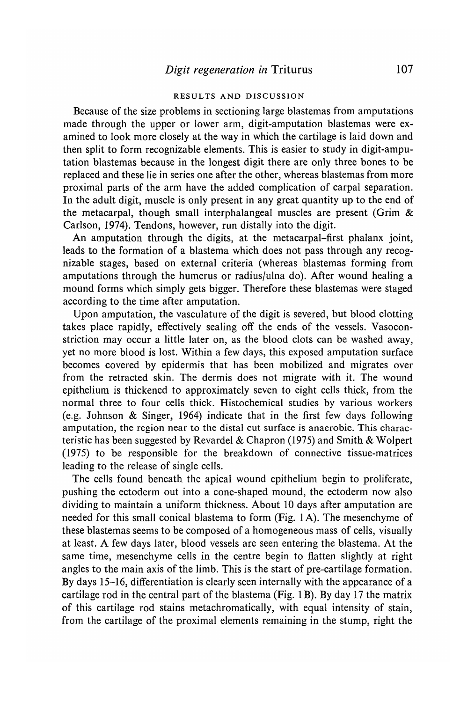#### RESULTS AND DISCUSSION

Because of the size problems in sectioning large blastemas from amputations made through the upper or lower arm, digit-amputation blastemas were examined to look more closely at the way in which the cartilage is laid down and then split to form recognizable elements. This is easier to study in digit-amputation blastemas because in the longest digit there are only three bones to be replaced and these lie in series one after the other, whereas blastemas from more proximal parts of the arm have the added complication of carpal separation. In the adult digit, muscle is only present in any great quantity up to the end of the metacarpal, though small interphalangeal muscles are present (Grim & Carlson, 1974). Tendons, however, run distally into the digit.

An amputation through the digits, at the metacarpal-first phalanx joint, leads to the formation of a blastema which does not pass through any recognizable stages, based on external criteria (whereas blastemas forming from amputations through the humerus or radius/ulna do). After wound healing a mound forms which simply gets bigger. Therefore these blastemas were staged according to the time after amputation.

Upon amputation, the vasculature of the digit is severed, but blood clotting takes place rapidly, effectively sealing off the ends of the vessels. Vasoconstriction may occur a little later on, as the blood clots can be washed away, yet no more blood is lost. Within a few days, this exposed amputation surface becomes covered by epidermis that has been mobilized and migrates over from the retracted skin. The dermis does not migrate with it. The wound epithelium is thickened to approximately seven to eight cells thick, from the normal three to four cells thick. Histochemical studies by various workers (e.g. Johnson & Singer, 1964) indicate that in the first few days following amputation, the region near to the distal cut surface is anaerobic. This characteristic has been suggested by Revardel & Chapron (1975) and Smith & Wolpert (1975) to be responsible for the breakdown of connective tissue-matrices leading to the release of single cells.

The cells found beneath the apical wound epithelium begin to proliferate, pushing the ectoderm out into a cone-shaped mound, the ectoderm now also dividing to maintain a uniform thickness. About 10 days after amputation are needed for this small conical blastema to form (Fig. 1 A). The mesenchyme of these blastemas seems to be composed of a homogeneous mass of cells, visually at least. A few days later, blood vessels are seen entering the blastema. At the same time, mesenchyme cells in the centre begin to flatten slightly at right angles to the main axis of the limb. This is the start of pre-cartilage formation. By days 15-16, differentiation is clearly seen internally with the appearance of a cartilage rod in the central part of the blastema (Fig. 1B). By day 17 the matrix of this cartilage rod stains metachromatically, with equal intensity of stain, from the cartilage of the proximal elements remaining in the stump, right the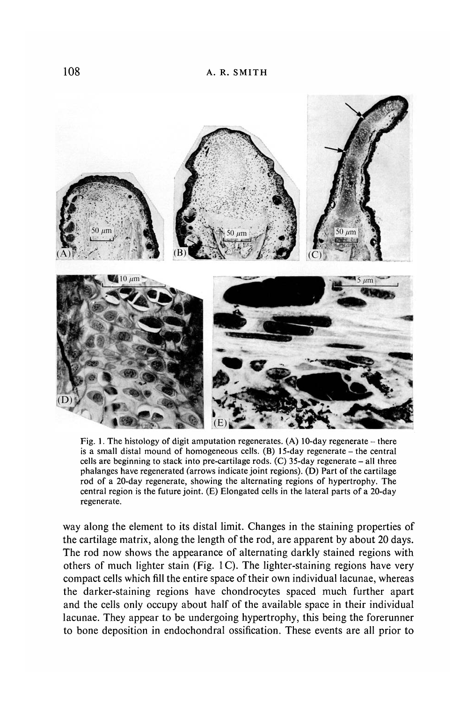

Fig. 1. The histology of digit amputation regenerates. (A) 10-day regenerate  $-$  there is a small distal mound of homogeneous cells. (B) 15-day regenerate - the central cells are beginning to stack into pre-cartilage rods.  $(C)$  35-day regenerate – all three phalanges have regenerated (arrows indicate joint regions). (D) Part of the cartilage rod of a 20-day regenerate, showing the alternating regions of hypertrophy. The central region is the future joint. (E) Elongated cells in the lateral parts of a 20-day regenerate.

way along the element to its distal limit. Changes in the staining properties of the cartilage matrix, along the length of the rod, are apparent by about 20 days. The rod now shows the appearance of alternating darkly stained regions with others of much lighter stain (Fig. 1C). The lighter-staining regions have very compact cells which fill the entire space of their own individual lacunae, whereas the darker-staining regions have chondrocytes spaced much further apart and the cells only occupy about half of the available space in their individual lacunae. They appear to be undergoing hypertrophy, this being the forerunner to bone deposition in endochondral ossification. These events are all prior to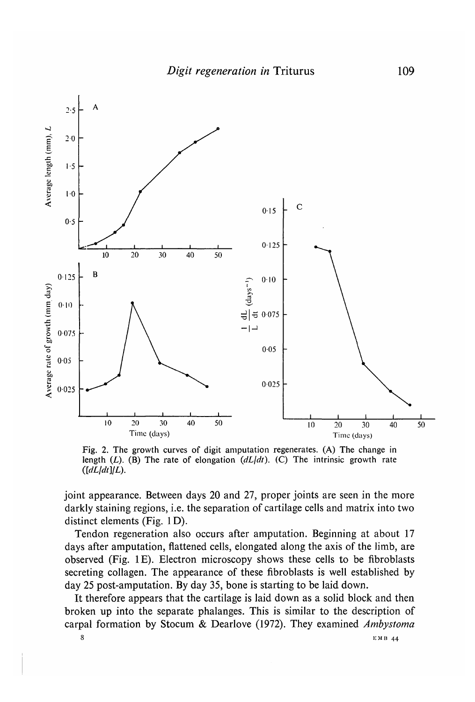

Fig. 2. The growth curves of digit amputation regenerates. (A) The change in length  $(L)$ . (B) The rate of elongation  $(dL/dt)$ . (C) The intrinsic growth rate  $\left(\frac{dL}{dt}\right)\llcorner L$ ).

joint appearance. Between days 20 and 27, proper joints are seen in the more darkly staining regions, i.e. the separation of cartilage cells and matrix into two distinct elements (Fig. ID).

Tendon regeneration also occurs after amputation. Beginning at about 17 days after amputation, flattened cells, elongated along the axis of the limb, are observed (Fig. IE). Electron microscopy shows these cells to be fibroblasts secreting collagen. The appearance of these fibroblasts is well established by day 25 post-amputation. By day 35, bone is starting to be laid down.

It therefore appears that the cartilage is laid down as a solid block and then broken up into the separate phalanges. This is similar to the description of carpal formation by Stocum & Dearlove (1972). They examined *Ambystoma*

 $8 \text{ EMB } 44$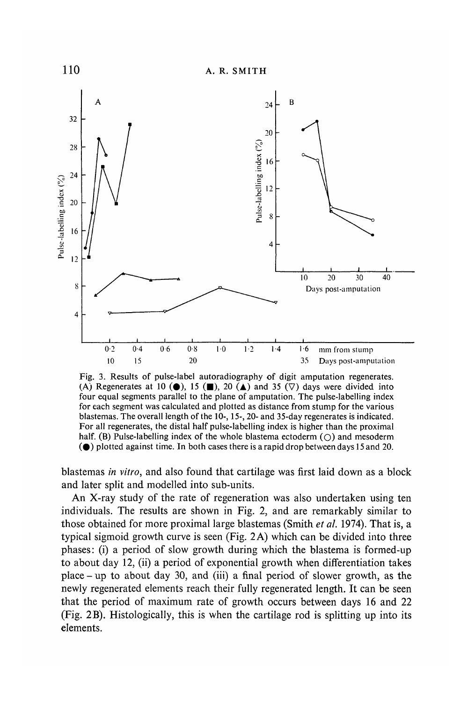

Fig. 3. Results of pulse-label autoradiography of digit amputation regenerates. (A) Regenerates at 10 ( $\bullet$ ), 15 ( $\blacksquare$ ), 20 ( $\blacktriangle$ ) and 35 ( $\triangledown$ ) days were divided into four equal segments parallel to the plane of amputation. The pulse-labelling index for each segment was calculated and plotted as distance from stump for the various blastemas. The overall length of the 10-, 15-, 20- and 35-day regenerates is indicated. For all regenerates, the distal half pulse-labelling index is higher than the proximal half. (B) Pulse-labelling index of the whole blastema ectoderm  $(\cap)$  and mesoderm  $\odot$  plotted against time. In both cases there is a rapid drop between days 15 and 20.

blastemas *in vitro,* and also found that cartilage was first laid down as a block and later split and modelled into sub-units.

An X-ray study of the rate of regeneration was also undertaken using ten individuals. The results are shown in Fig. 2, and are remarkably similar to those obtained for more proximal large blastemas (Smith *et ah* 1974). That is, a typical sigmoid growth curve is seen (Fig. 2 A) which can be divided into three phases: (i) a period of slow growth during which the blastema is formed-up to about day 12, (ii) a period of exponential growth when differentiation takes place - up to about day 30, and (iii) a final period of slower growth, as the newly regenerated elements reach their fully regenerated length. It can be seen that the period of maximum rate of growth occurs between days 16 and 22 (Fig. 2B). Histologically, this is when the cartilage rod is splitting up into its elements.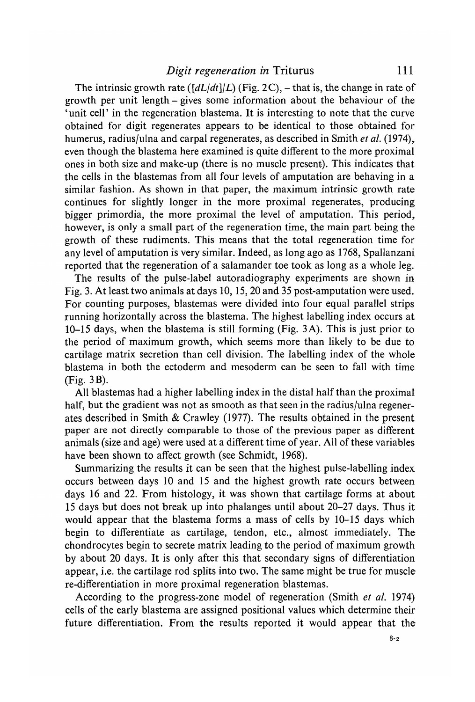The intrinsic growth rate  $([dL/dt]/L)$  (Fig. 2C), – that is, the change in rate of growth per unit length - gives some information about the behaviour of the 'unit cell' in the regeneration blastema. It is interesting to note that the curve obtained for digit regenerates appears to be identical to those obtained for humerus, radius/ulna and carpal regenerates, as described in Smith *et al.* (1974), even though the blastema here examined is quite different to the more proximal ones in both size and make-up (there is no muscle present). This indicates that the cells in the blastemas from all four levels of amputation are behaving in a similar fashion. As shown in that paper, the maximum intrinsic growth rate continues for slightly longer in the more proximal regenerates, producing bigger primordia, the more proximal the level of amputation. This period, however, is only a small part of the regeneration time, the main part being the growth of these rudiments. This means that the total regeneration time for any level of amputation is very similar. Indeed, as long ago as 1768, Spallanzani reported that the regeneration of a salamander toe took as long as a whole leg.

The results of the pulse-label autoradiography experiments are shown in Fig. 3. At least two animals at days 10,15,20 and 35 post-amputation were used. For counting purposes, blastemas were divided into four equal parallel strips running horizontally across the blastema. The highest labelling index occurs at 10-15 days, when the blastema is still forming (Fig. 3 A). This is just prior to the period of maximum growth, which seems more than likely to be due to cartilage matrix secretion than cell division. The labelling index of the whole blastema in both the ectoderm and mesoderm can be seen to fall with time (Fig. 3B).

All blastemas had a higher labelling index in the distal half than the proximal half, but the gradient was not as smooth as that seen in the radius/ulna regenerates described in Smith & Crawley (1977). The results obtained in the present paper are not directly comparable to those of the previous paper as different animals (size and age) were used at a different time of year. All of these variables have been shown to affect growth (see Schmidt, 1968).

Summarizing the results it can be seen that the highest pulse-labelling index occurs between days 10 and 15 and the highest growth rate occurs between days 16 and 22. From histology, it was shown that cartilage forms at about 15 days but does not break up into phalanges until about 20-27 days. Thus it would appear that the blastema forms a mass of cells by 10-15 days which begin to differentiate as cartilage, tendon, etc., almost immediately. The chondrocytes begin to secrete matrix leading to the period of maximum growth by about 20 days. It is only after this that secondary signs of differentiation appear, i.e. the cartilage rod splits into two. The same might be true for muscle re-differentiation in more proximal regeneration blastemas.

According to the progress-zone model of regeneration (Smith *et al.* 1974) cells of the early blastema are assigned positional values which determine their future differentiation. From the results reported it would appear that the